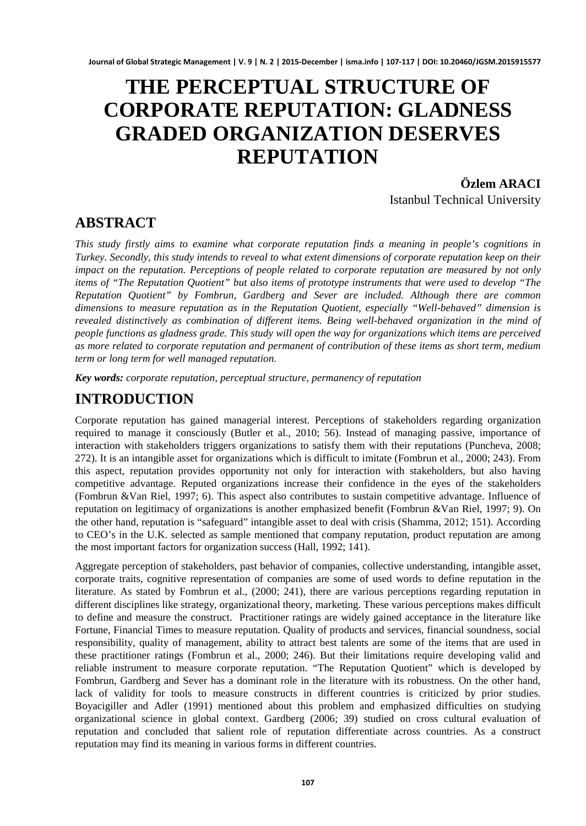# **THE PERCEPTUAL STRUCTURE OF CORPORATE REPUTATION: GLADNESS GRADED ORGANIZATION DESERVES REPUTATION**

**Özlem ARACI**  Istanbul Technical University

### **ABSTRACT**

*This study firstly aims to examine what corporate reputation finds a meaning in people's cognitions in Turkey. Secondly, this study intends to reveal to what extent dimensions of corporate reputation keep on their impact on the reputation. Perceptions of people related to corporate reputation are measured by not only items of "The Reputation Quotient" but also items of prototype instruments that were used to develop "The Reputation Quotient" by Fombrun, Gardberg and Sever are included. Although there are common dimensions to measure reputation as in the Reputation Quotient, especially "Well-behaved" dimension is revealed distinctively as combination of different items. Being well-behaved organization in the mind of people functions as gladness grade. This study will open the way for organizations which items are perceived as more related to corporate reputation and permanent of contribution of these items as short term, medium term or long term for well managed reputation.* 

*Key words: corporate reputation, perceptual structure, permanency of reputation*

# **INTRODUCTION**

Corporate reputation has gained managerial interest. Perceptions of stakeholders regarding organization required to manage it consciously (Butler et al., 2010; 56). Instead of managing passive, importance of interaction with stakeholders triggers organizations to satisfy them with their reputations (Puncheva, 2008; 272). It is an intangible asset for organizations which is difficult to imitate (Fombrun et al., 2000; 243). From this aspect, reputation provides opportunity not only for interaction with stakeholders, but also having competitive advantage. Reputed organizations increase their confidence in the eyes of the stakeholders (Fombrun &Van Riel, 1997; 6). This aspect also contributes to sustain competitive advantage. Influence of reputation on legitimacy of organizations is another emphasized benefit (Fombrun &Van Riel, 1997; 9). On the other hand, reputation is "safeguard" intangible asset to deal with crisis (Shamma, 2012; 151). According to CEO's in the U.K. selected as sample mentioned that company reputation, product reputation are among the most important factors for organization success (Hall, 1992; 141).

Aggregate perception of stakeholders, past behavior of companies, collective understanding, intangible asset, corporate traits, cognitive representation of companies are some of used words to define reputation in the literature. As stated by Fombrun et al., (2000; 241), there are various perceptions regarding reputation in different disciplines like strategy, organizational theory, marketing. These various perceptions makes difficult to define and measure the construct. Practitioner ratings are widely gained acceptance in the literature like Fortune, Financial Times to measure reputation. Quality of products and services, financial soundness, social responsibility, quality of management, ability to attract best talents are some of the items that are used in these practitioner ratings (Fombrun et al., 2000; 246). But their limitations require developing valid and reliable instrument to measure corporate reputation. "The Reputation Quotient" which is developed by Fombrun, Gardberg and Sever has a dominant role in the literature with its robustness. On the other hand, lack of validity for tools to measure constructs in different countries is criticized by prior studies. Boyacigiller and Adler (1991) mentioned about this problem and emphasized difficulties on studying organizational science in global context. Gardberg (2006; 39) studied on cross cultural evaluation of reputation and concluded that salient role of reputation differentiate across countries. As a construct reputation may find its meaning in various forms in different countries.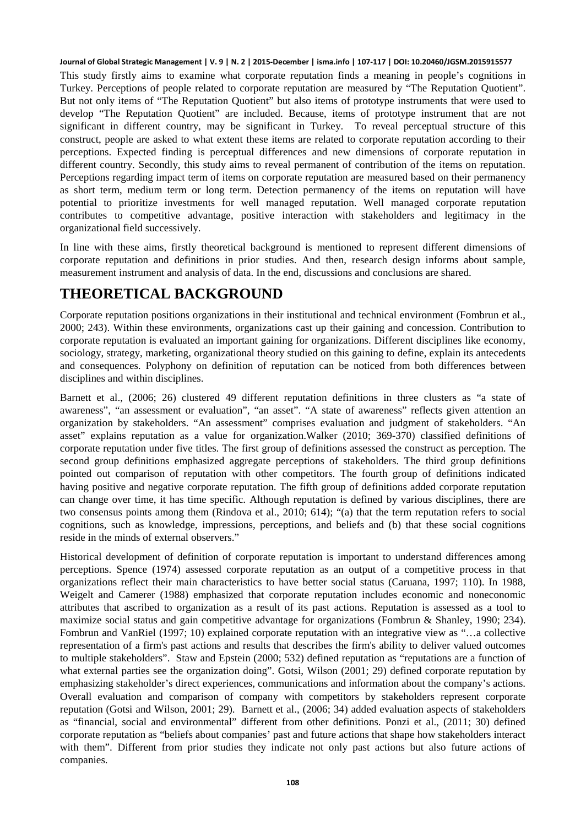This study firstly aims to examine what corporate reputation finds a meaning in people's cognitions in Turkey. Perceptions of people related to corporate reputation are measured by "The Reputation Quotient". But not only items of "The Reputation Quotient" but also items of prototype instruments that were used to develop "The Reputation Quotient" are included. Because, items of prototype instrument that are not significant in different country, may be significant in Turkey. To reveal perceptual structure of this construct, people are asked to what extent these items are related to corporate reputation according to their perceptions. Expected finding is perceptual differences and new dimensions of corporate reputation in different country. Secondly, this study aims to reveal permanent of contribution of the items on reputation. Perceptions regarding impact term of items on corporate reputation are measured based on their permanency as short term, medium term or long term. Detection permanency of the items on reputation will have potential to prioritize investments for well managed reputation. Well managed corporate reputation contributes to competitive advantage, positive interaction with stakeholders and legitimacy in the organizational field successively.

In line with these aims, firstly theoretical background is mentioned to represent different dimensions of corporate reputation and definitions in prior studies. And then, research design informs about sample, measurement instrument and analysis of data. In the end, discussions and conclusions are shared.

# **THEORETICAL BACKGROUND**

Corporate reputation positions organizations in their institutional and technical environment (Fombrun et al., 2000; 243). Within these environments, organizations cast up their gaining and concession. Contribution to corporate reputation is evaluated an important gaining for organizations. Different disciplines like economy, sociology, strategy, marketing, organizational theory studied on this gaining to define, explain its antecedents and consequences. Polyphony on definition of reputation can be noticed from both differences between disciplines and within disciplines.

Barnett et al., (2006; 26) clustered 49 different reputation definitions in three clusters as "a state of awareness", "an assessment or evaluation", "an asset". "A state of awareness" reflects given attention an organization by stakeholders. "An assessment" comprises evaluation and judgment of stakeholders. "An asset" explains reputation as a value for organization.Walker (2010; 369-370) classified definitions of corporate reputation under five titles. The first group of definitions assessed the construct as perception. The second group definitions emphasized aggregate perceptions of stakeholders. The third group definitions pointed out comparison of reputation with other competitors. The fourth group of definitions indicated having positive and negative corporate reputation. The fifth group of definitions added corporate reputation can change over time, it has time specific. Although reputation is defined by various disciplines, there are two consensus points among them (Rindova et al., 2010; 614); "(a) that the term reputation refers to social cognitions, such as knowledge, impressions, perceptions, and beliefs and (b) that these social cognitions reside in the minds of external observers."

Historical development of definition of corporate reputation is important to understand differences among perceptions. Spence (1974) assessed corporate reputation as an output of a competitive process in that organizations reflect their main characteristics to have better social status (Caruana, 1997; 110). In 1988, Weigelt and Camerer (1988) emphasized that corporate reputation includes economic and noneconomic attributes that ascribed to organization as a result of its past actions. Reputation is assessed as a tool to maximize social status and gain competitive advantage for organizations (Fombrun & Shanley, 1990; 234). Fombrun and VanRiel (1997; 10) explained corporate reputation with an integrative view as "…a collective representation of a firm's past actions and results that describes the firm's ability to deliver valued outcomes to multiple stakeholders". Staw and Epstein (2000; 532) defined reputation as "reputations are a function of what external parties see the organization doing". Gotsi, Wilson (2001; 29) defined corporate reputation by emphasizing stakeholder's direct experiences, communications and information about the company's actions. Overall evaluation and comparison of company with competitors by stakeholders represent corporate reputation (Gotsi and Wilson, 2001; 29). Barnett et al., (2006; 34) added evaluation aspects of stakeholders as "financial, social and environmental" different from other definitions. Ponzi et al., (2011; 30) defined corporate reputation as "beliefs about companies' past and future actions that shape how stakeholders interact with them". Different from prior studies they indicate not only past actions but also future actions of companies.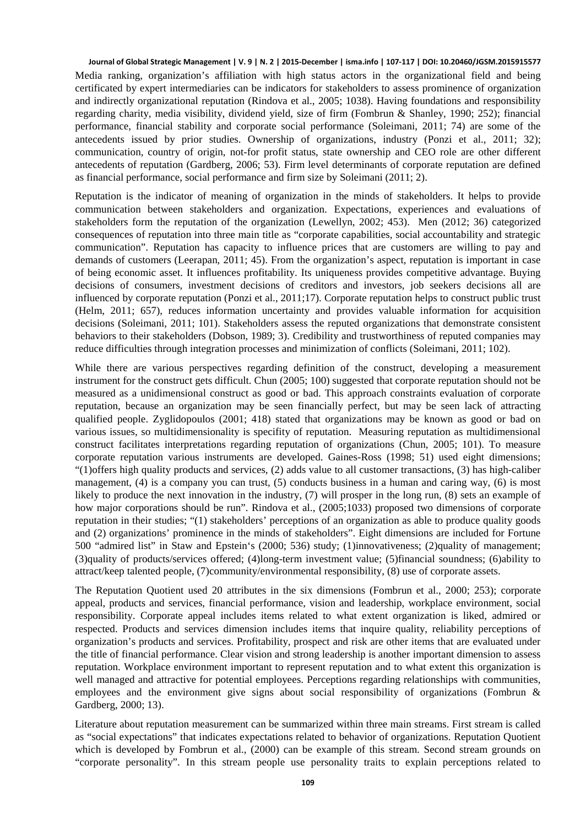Media ranking, organization's affiliation with high status actors in the organizational field and being certificated by expert intermediaries can be indicators for stakeholders to assess prominence of organization and indirectly organizational reputation (Rindova et al., 2005; 1038). Having foundations and responsibility regarding charity, media visibility, dividend yield, size of firm (Fombrun & Shanley, 1990; 252); financial performance, financial stability and corporate social performance (Soleimani, 2011; 74) are some of the antecedents issued by prior studies. Ownership of organizations, industry (Ponzi et al., 2011; 32); communication, country of origin, not-for profit status, state ownership and CEO role are other different antecedents of reputation (Gardberg, 2006; 53). Firm level determinants of corporate reputation are defined as financial performance, social performance and firm size by Soleimani (2011; 2).

Reputation is the indicator of meaning of organization in the minds of stakeholders. It helps to provide communication between stakeholders and organization. Expectations, experiences and evaluations of stakeholders form the reputation of the organization (Lewellyn, 2002; 453). Men (2012; 36) categorized consequences of reputation into three main title as "corporate capabilities, social accountability and strategic communication". Reputation has capacity to influence prices that are customers are willing to pay and demands of customers (Leerapan, 2011; 45). From the organization's aspect, reputation is important in case of being economic asset. It influences profitability. Its uniqueness provides competitive advantage. Buying decisions of consumers, investment decisions of creditors and investors, job seekers decisions all are influenced by corporate reputation (Ponzi et al., 2011;17). Corporate reputation helps to construct public trust (Helm, 2011; 657), reduces information uncertainty and provides valuable information for acquisition decisions (Soleimani, 2011; 101). Stakeholders assess the reputed organizations that demonstrate consistent behaviors to their stakeholders (Dobson, 1989; 3). Credibility and trustworthiness of reputed companies may reduce difficulties through integration processes and minimization of conflicts (Soleimani, 2011; 102).

While there are various perspectives regarding definition of the construct, developing a measurement instrument for the construct gets difficult. Chun (2005; 100) suggested that corporate reputation should not be measured as a unidimensional construct as good or bad. This approach constraints evaluation of corporate reputation, because an organization may be seen financially perfect, but may be seen lack of attracting qualified people. Zyglidopoulos (2001; 418) stated that organizations may be known as good or bad on various issues, so multidimensionality is specifity of reputation. Measuring reputation as multidimensional construct facilitates interpretations regarding reputation of organizations (Chun, 2005; 101). To measure corporate reputation various instruments are developed. Gaines-Ross (1998; 51) used eight dimensions; "(1)offers high quality products and services, (2) adds value to all customer transactions, (3) has high-caliber management, (4) is a company you can trust, (5) conducts business in a human and caring way, (6) is most likely to produce the next innovation in the industry, (7) will prosper in the long run, (8) sets an example of how major corporations should be run". Rindova et al., (2005;1033) proposed two dimensions of corporate reputation in their studies; "(1) stakeholders' perceptions of an organization as able to produce quality goods and (2) organizations' prominence in the minds of stakeholders". Eight dimensions are included for Fortune 500 "admired list" in Staw and Epstein's (2000; 536) study; (1)innovativeness; (2)quality of management; (3)quality of products/services offered; (4)long-term investment value; (5)financial soundness; (6)ability to attract/keep talented people, (7)community/environmental responsibility, (8) use of corporate assets.

The Reputation Quotient used 20 attributes in the six dimensions (Fombrun et al., 2000; 253); corporate appeal, products and services, financial performance, vision and leadership, workplace environment, social responsibility. Corporate appeal includes items related to what extent organization is liked, admired or respected. Products and services dimension includes items that inquire quality, reliability perceptions of organization's products and services. Profitability, prospect and risk are other items that are evaluated under the title of financial performance. Clear vision and strong leadership is another important dimension to assess reputation. Workplace environment important to represent reputation and to what extent this organization is well managed and attractive for potential employees. Perceptions regarding relationships with communities, employees and the environment give signs about social responsibility of organizations (Fombrun & Gardberg, 2000; 13).

Literature about reputation measurement can be summarized within three main streams. First stream is called as "social expectations" that indicates expectations related to behavior of organizations. Reputation Quotient which is developed by Fombrun et al., (2000) can be example of this stream. Second stream grounds on "corporate personality". In this stream people use personality traits to explain perceptions related to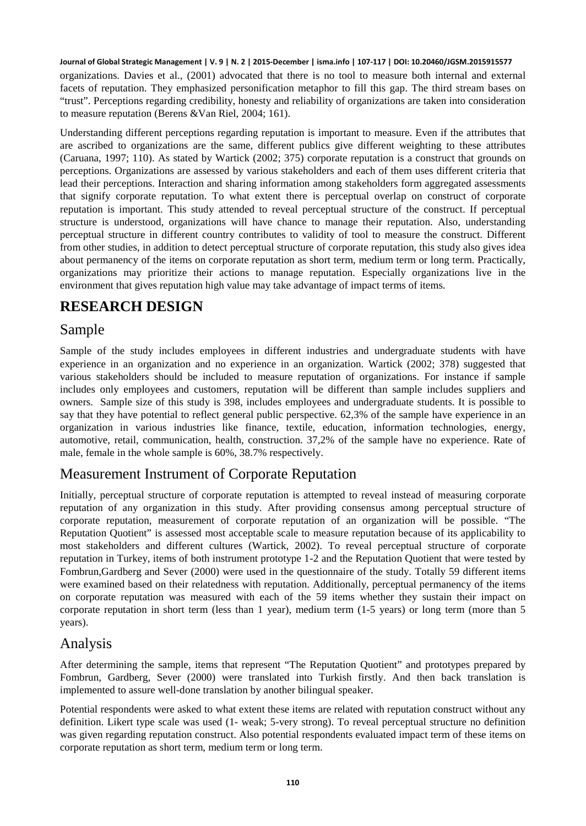organizations. Davies et al., (2001) advocated that there is no tool to measure both internal and external facets of reputation. They emphasized personification metaphor to fill this gap. The third stream bases on "trust". Perceptions regarding credibility, honesty and reliability of organizations are taken into consideration to measure reputation (Berens &Van Riel, 2004; 161).

Understanding different perceptions regarding reputation is important to measure. Even if the attributes that are ascribed to organizations are the same, different publics give different weighting to these attributes (Caruana, 1997; 110). As stated by Wartick (2002; 375) corporate reputation is a construct that grounds on perceptions. Organizations are assessed by various stakeholders and each of them uses different criteria that lead their perceptions. Interaction and sharing information among stakeholders form aggregated assessments that signify corporate reputation. To what extent there is perceptual overlap on construct of corporate reputation is important. This study attended to reveal perceptual structure of the construct. If perceptual structure is understood, organizations will have chance to manage their reputation. Also, understanding perceptual structure in different country contributes to validity of tool to measure the construct. Different from other studies, in addition to detect perceptual structure of corporate reputation, this study also gives idea about permanency of the items on corporate reputation as short term, medium term or long term. Practically, organizations may prioritize their actions to manage reputation. Especially organizations live in the environment that gives reputation high value may take advantage of impact terms of items.

# **RESEARCH DESIGN**

### Sample

Sample of the study includes employees in different industries and undergraduate students with have experience in an organization and no experience in an organization. Wartick (2002; 378) suggested that various stakeholders should be included to measure reputation of organizations. For instance if sample includes only employees and customers, reputation will be different than sample includes suppliers and owners. Sample size of this study is 398, includes employees and undergraduate students. It is possible to say that they have potential to reflect general public perspective. 62,3% of the sample have experience in an organization in various industries like finance, textile, education, information technologies, energy, automotive, retail, communication, health, construction. 37,2% of the sample have no experience. Rate of male, female in the whole sample is 60%, 38.7% respectively.

### Measurement Instrument of Corporate Reputation

Initially, perceptual structure of corporate reputation is attempted to reveal instead of measuring corporate reputation of any organization in this study. After providing consensus among perceptual structure of corporate reputation, measurement of corporate reputation of an organization will be possible. "The Reputation Quotient" is assessed most acceptable scale to measure reputation because of its applicability to most stakeholders and different cultures (Wartick, 2002). To reveal perceptual structure of corporate reputation in Turkey, items of both instrument prototype 1-2 and the Reputation Quotient that were tested by Fombrun,Gardberg and Sever (2000) were used in the questionnaire of the study. Totally 59 different items were examined based on their relatedness with reputation. Additionally, perceptual permanency of the items on corporate reputation was measured with each of the 59 items whether they sustain their impact on corporate reputation in short term (less than 1 year), medium term (1-5 years) or long term (more than 5 years).

### Analysis

After determining the sample, items that represent "The Reputation Quotient" and prototypes prepared by Fombrun, Gardberg, Sever (2000) were translated into Turkish firstly. And then back translation is implemented to assure well-done translation by another bilingual speaker.

Potential respondents were asked to what extent these items are related with reputation construct without any definition. Likert type scale was used (1- weak; 5-very strong). To reveal perceptual structure no definition was given regarding reputation construct. Also potential respondents evaluated impact term of these items on corporate reputation as short term, medium term or long term.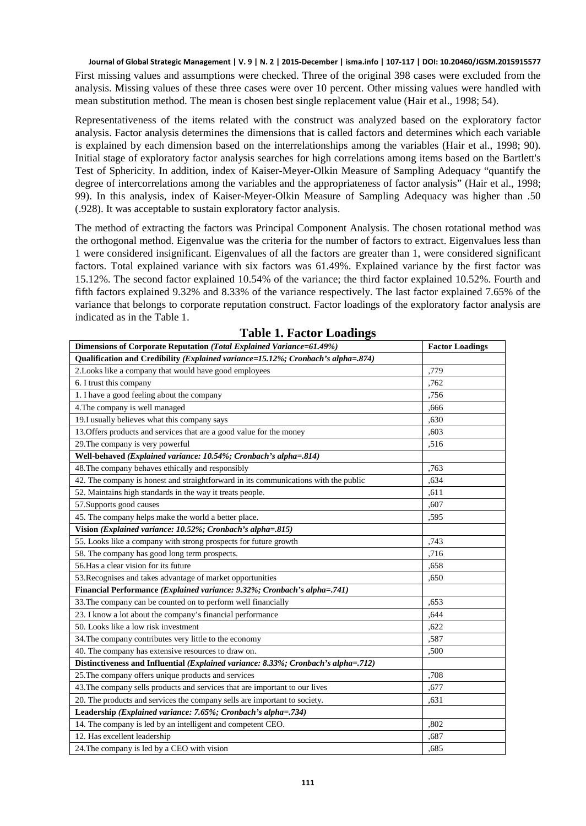First missing values and assumptions were checked. Three of the original 398 cases were excluded from the analysis. Missing values of these three cases were over 10 percent. Other missing values were handled with mean substitution method. The mean is chosen best single replacement value (Hair et al., 1998; 54).

Representativeness of the items related with the construct was analyzed based on the exploratory factor analysis. Factor analysis determines the dimensions that is called factors and determines which each variable is explained by each dimension based on the interrelationships among the variables (Hair et al., 1998; 90). Initial stage of exploratory factor analysis searches for high correlations among items based on the Bartlett's Test of Sphericity. In addition, index of Kaiser-Meyer-Olkin Measure of Sampling Adequacy "quantify the degree of intercorrelations among the variables and the appropriateness of factor analysis" (Hair et al., 1998; 99). In this analysis, index of Kaiser-Meyer-Olkin Measure of Sampling Adequacy was higher than .50 (.928). It was acceptable to sustain exploratory factor analysis.

The method of extracting the factors was Principal Component Analysis. The chosen rotational method was the orthogonal method. Eigenvalue was the criteria for the number of factors to extract. Eigenvalues less than 1 were considered insignificant. Eigenvalues of all the factors are greater than 1, were considered significant factors. Total explained variance with six factors was 61.49%. Explained variance by the first factor was 15.12%. The second factor explained 10.54% of the variance; the third factor explained 10.52%. Fourth and fifth factors explained 9.32% and 8.33% of the variance respectively. The last factor explained 7.65% of the variance that belongs to corporate reputation construct. Factor loadings of the exploratory factor analysis are indicated as in the Table 1.

| Dimensions of Corporate Reputation (Total Explained Variance=61.49%)                | <b>Factor Loadings</b> |  |
|-------------------------------------------------------------------------------------|------------------------|--|
| Qualification and Credibility (Explained variance=15.12%; Cronbach's alpha=.874)    |                        |  |
| 2. Looks like a company that would have good employees                              | .779                   |  |
| 6. I trust this company                                                             | .762                   |  |
| 1. I have a good feeling about the company                                          | .756                   |  |
| 4. The company is well managed                                                      | .666                   |  |
| 19.I usually believes what this company says                                        | ,630                   |  |
| 13. Offers products and services that are a good value for the money                | ,603                   |  |
| 29. The company is very powerful                                                    | .516                   |  |
| Well-behaved (Explained variance: 10.54%; Cronbach's alpha=.814)                    |                        |  |
| 48. The company behaves ethically and responsibly                                   | .763                   |  |
| 42. The company is honest and straightforward in its communications with the public | .634                   |  |
| 52. Maintains high standards in the way it treats people.                           | .611                   |  |
| 57. Supports good causes                                                            | ,607                   |  |
| 45. The company helps make the world a better place.                                | .595                   |  |
| Vision (Explained variance: 10.52%; Cronbach's alpha=.815)                          |                        |  |
| 55. Looks like a company with strong prospects for future growth                    | ,743                   |  |
| 58. The company has good long term prospects.                                       | .716                   |  |
| 56. Has a clear vision for its future                                               | .658                   |  |
| 53. Recognises and takes advantage of market opportunities                          | .650                   |  |
| Financial Performance (Explained variance: 9.32%; Cronbach's alpha=.741)            |                        |  |
| 33. The company can be counted on to perform well financially                       | .653                   |  |
| 23. I know a lot about the company's financial performance                          | .644                   |  |
| 50. Looks like a low risk investment                                                | ,622                   |  |
| 34. The company contributes very little to the economy                              | .587                   |  |
| 40. The company has extensive resources to draw on.                                 | ,500                   |  |
| Distinctiveness and Influential (Explained variance: 8.33%; Cronbach's alpha=.712)  |                        |  |
| 25. The company offers unique products and services                                 | .708                   |  |
| 43. The company sells products and services that are important to our lives         | ,677                   |  |
| 20. The products and services the company sells are important to society.           | ,631                   |  |
| Leadership (Explained variance: 7.65%; Cronbach's alpha=.734)                       |                        |  |
| 14. The company is led by an intelligent and competent CEO.                         | ,802                   |  |
| 12. Has excellent leadership                                                        | ,687                   |  |
| 24. The company is led by a CEO with vision                                         | .685                   |  |

**Table 1. Factor Loadings**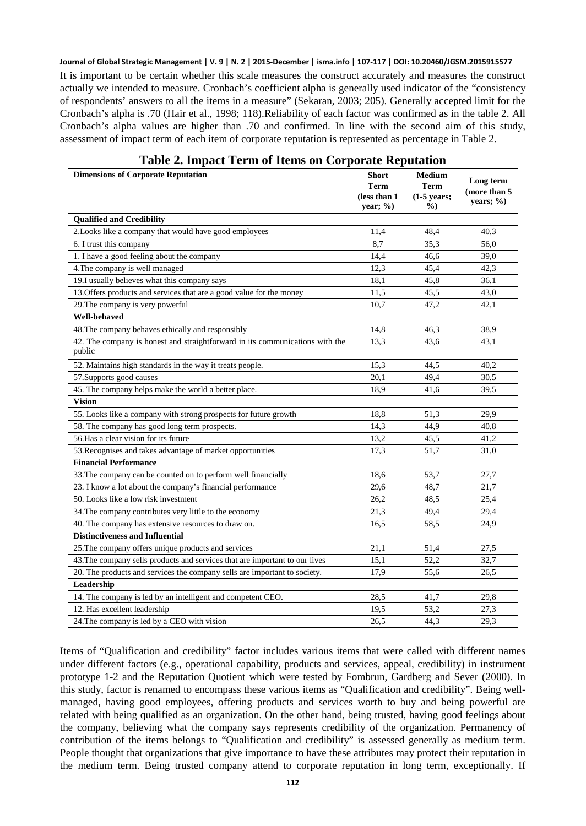It is important to be certain whether this scale measures the construct accurately and measures the construct actually we intended to measure. Cronbach's coefficient alpha is generally used indicator of the "consistency of respondents' answers to all the items in a measure" (Sekaran, 2003; 205). Generally accepted limit for the Cronbach's alpha is .70 (Hair et al., 1998; 118).Reliability of each factor was confirmed as in the table 2. All Cronbach's alpha values are higher than .70 and confirmed. In line with the second aim of this study, assessment of impact term of each item of corporate reputation is represented as percentage in Table 2.

| <b>Dimensions of Corporate Reputation</b>                                              | <b>Short</b><br>Term<br>(less than 1<br>year; %) | <b>Medium</b><br>Term<br>$(1-5$ years;<br>$\frac{0}{0}$ | Long term<br>(more than 5<br>years; $\%$ ) |
|----------------------------------------------------------------------------------------|--------------------------------------------------|---------------------------------------------------------|--------------------------------------------|
| <b>Qualified and Credibility</b>                                                       |                                                  |                                                         |                                            |
| 2. Looks like a company that would have good employees                                 | 11,4                                             | 48.4                                                    | 40.3                                       |
| 6. I trust this company                                                                | 8,7                                              | 35,3                                                    | 56,0                                       |
| 1. I have a good feeling about the company                                             | 14,4                                             | 46.6                                                    | 39,0                                       |
| 4. The company is well managed                                                         | 12,3                                             | 45,4                                                    | 42,3                                       |
| 19.I usually believes what this company says                                           | 18,1                                             | 45.8                                                    | 36,1                                       |
| 13. Offers products and services that are a good value for the money                   | 11,5                                             | 45,5                                                    | 43,0                                       |
| 29. The company is very powerful                                                       | 10,7                                             | 47,2                                                    | 42,1                                       |
| Well-behaved                                                                           |                                                  |                                                         |                                            |
| 48. The company behaves ethically and responsibly                                      | 14,8                                             | 46,3                                                    | 38,9                                       |
| 42. The company is honest and straightforward in its communications with the<br>public | 13,3                                             | 43,6                                                    | 43,1                                       |
| 52. Maintains high standards in the way it treats people.                              | 15.3                                             | 44.5                                                    | 40.2                                       |
| 57. Supports good causes                                                               | 20.1                                             | 49.4                                                    | 30.5                                       |
| 45. The company helps make the world a better place.                                   | 18,9                                             | 41,6                                                    | 39,5                                       |
| <b>Vision</b>                                                                          |                                                  |                                                         |                                            |
| 55. Looks like a company with strong prospects for future growth                       | 18.8                                             | 51,3                                                    | 29,9                                       |
| 58. The company has good long term prospects.                                          | 14.3                                             | 44,9                                                    | 40.8                                       |
| 56. Has a clear vision for its future                                                  | 13,2                                             | 45,5                                                    | 41,2                                       |
| 53. Recognises and takes advantage of market opportunities                             | 17,3                                             | 51,7                                                    | 31,0                                       |
| <b>Financial Performance</b>                                                           |                                                  |                                                         |                                            |
| 33. The company can be counted on to perform well financially                          | 18.6                                             | 53,7                                                    | 27,7                                       |
| 23. I know a lot about the company's financial performance                             | 29,6                                             | 48.7                                                    | 21,7                                       |
| 50. Looks like a low risk investment                                                   | 26,2                                             | 48,5                                                    | 25,4                                       |
| 34. The company contributes very little to the economy                                 | 21,3                                             | 49.4                                                    | 29,4                                       |
| 40. The company has extensive resources to draw on.                                    | 16,5                                             | 58.5                                                    | 24,9                                       |
| <b>Distinctiveness and Influential</b>                                                 |                                                  |                                                         |                                            |
| 25. The company offers unique products and services                                    | 21,1                                             | 51,4                                                    | 27,5                                       |
| 43. The company sells products and services that are important to our lives            | 15,1                                             | 52,2                                                    | 32,7                                       |
| 20. The products and services the company sells are important to society.              | 17.9                                             | 55,6                                                    | 26,5                                       |
| Leadership                                                                             |                                                  |                                                         |                                            |
| 14. The company is led by an intelligent and competent CEO.                            | 28.5                                             | 41,7                                                    | 29,8                                       |
| 12. Has excellent leadership                                                           | 19,5                                             | 53,2                                                    | 27,3                                       |
| 24. The company is led by a CEO with vision                                            | 26,5                                             | 44,3                                                    | 29,3                                       |

### **Table 2. Impact Term of Items on Corporate Reputation**

Items of "Qualification and credibility" factor includes various items that were called with different names under different factors (e.g., operational capability, products and services, appeal, credibility) in instrument prototype 1-2 and the Reputation Quotient which were tested by Fombrun, Gardberg and Sever (2000). In this study, factor is renamed to encompass these various items as "Qualification and credibility". Being wellmanaged, having good employees, offering products and services worth to buy and being powerful are related with being qualified as an organization. On the other hand, being trusted, having good feelings about the company, believing what the company says represents credibility of the organization. Permanency of contribution of the items belongs to "Qualification and credibility" is assessed generally as medium term. People thought that organizations that give importance to have these attributes may protect their reputation in the medium term. Being trusted company attend to corporate reputation in long term, exceptionally. If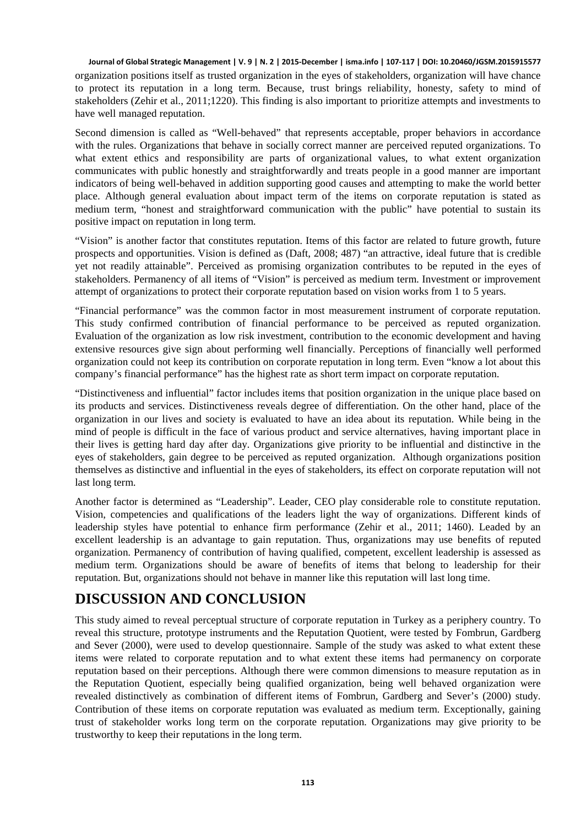organization positions itself as trusted organization in the eyes of stakeholders, organization will have chance to protect its reputation in a long term. Because, trust brings reliability, honesty, safety to mind of stakeholders (Zehir et al., 2011;1220). This finding is also important to prioritize attempts and investments to have well managed reputation.

Second dimension is called as "Well-behaved" that represents acceptable, proper behaviors in accordance with the rules. Organizations that behave in socially correct manner are perceived reputed organizations. To what extent ethics and responsibility are parts of organizational values, to what extent organization communicates with public honestly and straightforwardly and treats people in a good manner are important indicators of being well-behaved in addition supporting good causes and attempting to make the world better place. Although general evaluation about impact term of the items on corporate reputation is stated as medium term, "honest and straightforward communication with the public" have potential to sustain its positive impact on reputation in long term.

"Vision" is another factor that constitutes reputation. Items of this factor are related to future growth, future prospects and opportunities. Vision is defined as (Daft, 2008; 487) "an attractive, ideal future that is credible yet not readily attainable". Perceived as promising organization contributes to be reputed in the eyes of stakeholders. Permanency of all items of "Vision" is perceived as medium term. Investment or improvement attempt of organizations to protect their corporate reputation based on vision works from 1 to 5 years.

"Financial performance" was the common factor in most measurement instrument of corporate reputation. This study confirmed contribution of financial performance to be perceived as reputed organization. Evaluation of the organization as low risk investment, contribution to the economic development and having extensive resources give sign about performing well financially. Perceptions of financially well performed organization could not keep its contribution on corporate reputation in long term. Even "know a lot about this company's financial performance" has the highest rate as short term impact on corporate reputation.

"Distinctiveness and influential" factor includes items that position organization in the unique place based on its products and services. Distinctiveness reveals degree of differentiation. On the other hand, place of the organization in our lives and society is evaluated to have an idea about its reputation. While being in the mind of people is difficult in the face of various product and service alternatives, having important place in their lives is getting hard day after day. Organizations give priority to be influential and distinctive in the eyes of stakeholders, gain degree to be perceived as reputed organization. Although organizations position themselves as distinctive and influential in the eyes of stakeholders, its effect on corporate reputation will not last long term.

Another factor is determined as "Leadership". Leader, CEO play considerable role to constitute reputation. Vision, competencies and qualifications of the leaders light the way of organizations. Different kinds of leadership styles have potential to enhance firm performance (Zehir et al., 2011; 1460). Leaded by an excellent leadership is an advantage to gain reputation. Thus, organizations may use benefits of reputed organization. Permanency of contribution of having qualified, competent, excellent leadership is assessed as medium term. Organizations should be aware of benefits of items that belong to leadership for their reputation. But, organizations should not behave in manner like this reputation will last long time.

### **DISCUSSION AND CONCLUSION**

This study aimed to reveal perceptual structure of corporate reputation in Turkey as a periphery country. To reveal this structure, prototype instruments and the Reputation Quotient, were tested by Fombrun, Gardberg and Sever (2000), were used to develop questionnaire. Sample of the study was asked to what extent these items were related to corporate reputation and to what extent these items had permanency on corporate reputation based on their perceptions. Although there were common dimensions to measure reputation as in the Reputation Quotient, especially being qualified organization, being well behaved organization were revealed distinctively as combination of different items of Fombrun, Gardberg and Sever's (2000) study. Contribution of these items on corporate reputation was evaluated as medium term. Exceptionally, gaining trust of stakeholder works long term on the corporate reputation. Organizations may give priority to be trustworthy to keep their reputations in the long term.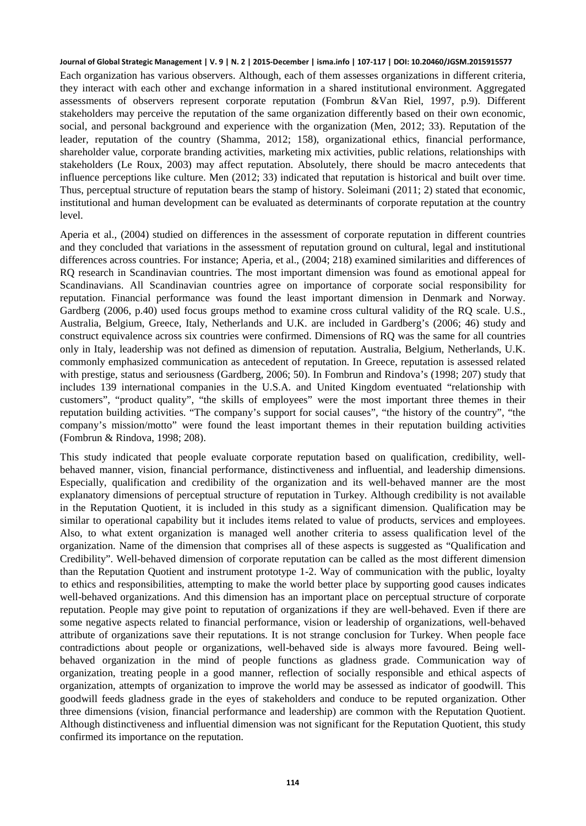Each organization has various observers. Although, each of them assesses organizations in different criteria, they interact with each other and exchange information in a shared institutional environment. Aggregated assessments of observers represent corporate reputation (Fombrun &Van Riel, 1997, p.9). Different stakeholders may perceive the reputation of the same organization differently based on their own economic, social, and personal background and experience with the organization (Men, 2012; 33). Reputation of the leader, reputation of the country (Shamma, 2012; 158), organizational ethics, financial performance, shareholder value, corporate branding activities, marketing mix activities, public relations, relationships with stakeholders (Le Roux, 2003) may affect reputation. Absolutely, there should be macro antecedents that influence perceptions like culture. Men (2012; 33) indicated that reputation is historical and built over time. Thus, perceptual structure of reputation bears the stamp of history. Soleimani (2011; 2) stated that economic, institutional and human development can be evaluated as determinants of corporate reputation at the country level.

Aperia et al., (2004) studied on differences in the assessment of corporate reputation in different countries and they concluded that variations in the assessment of reputation ground on cultural, legal and institutional differences across countries. For instance; Aperia, et al., (2004; 218) examined similarities and differences of RQ research in Scandinavian countries. The most important dimension was found as emotional appeal for Scandinavians. All Scandinavian countries agree on importance of corporate social responsibility for reputation. Financial performance was found the least important dimension in Denmark and Norway. Gardberg (2006, p.40) used focus groups method to examine cross cultural validity of the RQ scale. U.S., Australia, Belgium, Greece, Italy, Netherlands and U.K. are included in Gardberg's (2006; 46) study and construct equivalence across six countries were confirmed. Dimensions of RQ was the same for all countries only in Italy, leadership was not defined as dimension of reputation. Australia, Belgium, Netherlands, U.K. commonly emphasized communication as antecedent of reputation. In Greece, reputation is assessed related with prestige, status and seriousness (Gardberg, 2006; 50). In Fombrun and Rindova's (1998; 207) study that includes 139 international companies in the U.S.A. and United Kingdom eventuated "relationship with customers", "product quality", "the skills of employees" were the most important three themes in their reputation building activities. "The company's support for social causes", "the history of the country", "the company's mission/motto" were found the least important themes in their reputation building activities (Fombrun & Rindova, 1998; 208).

This study indicated that people evaluate corporate reputation based on qualification, credibility, wellbehaved manner, vision, financial performance, distinctiveness and influential, and leadership dimensions. Especially, qualification and credibility of the organization and its well-behaved manner are the most explanatory dimensions of perceptual structure of reputation in Turkey. Although credibility is not available in the Reputation Quotient, it is included in this study as a significant dimension. Qualification may be similar to operational capability but it includes items related to value of products, services and employees. Also, to what extent organization is managed well another criteria to assess qualification level of the organization. Name of the dimension that comprises all of these aspects is suggested as "Qualification and Credibility". Well-behaved dimension of corporate reputation can be called as the most different dimension than the Reputation Quotient and instrument prototype 1-2. Way of communication with the public, loyalty to ethics and responsibilities, attempting to make the world better place by supporting good causes indicates well-behaved organizations. And this dimension has an important place on perceptual structure of corporate reputation. People may give point to reputation of organizations if they are well-behaved. Even if there are some negative aspects related to financial performance, vision or leadership of organizations, well-behaved attribute of organizations save their reputations. It is not strange conclusion for Turkey. When people face contradictions about people or organizations, well-behaved side is always more favoured. Being wellbehaved organization in the mind of people functions as gladness grade. Communication way of organization, treating people in a good manner, reflection of socially responsible and ethical aspects of organization, attempts of organization to improve the world may be assessed as indicator of goodwill. This goodwill feeds gladness grade in the eyes of stakeholders and conduce to be reputed organization. Other three dimensions (vision, financial performance and leadership) are common with the Reputation Quotient. Although distinctiveness and influential dimension was not significant for the Reputation Quotient, this study confirmed its importance on the reputation.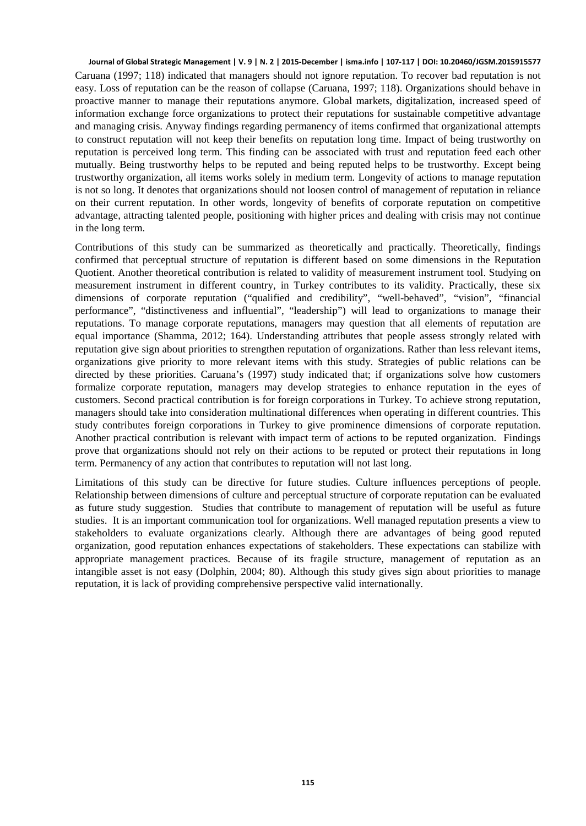Caruana (1997; 118) indicated that managers should not ignore reputation. To recover bad reputation is not easy. Loss of reputation can be the reason of collapse (Caruana, 1997; 118). Organizations should behave in proactive manner to manage their reputations anymore. Global markets, digitalization, increased speed of information exchange force organizations to protect their reputations for sustainable competitive advantage and managing crisis. Anyway findings regarding permanency of items confirmed that organizational attempts to construct reputation will not keep their benefits on reputation long time. Impact of being trustworthy on reputation is perceived long term. This finding can be associated with trust and reputation feed each other mutually. Being trustworthy helps to be reputed and being reputed helps to be trustworthy. Except being trustworthy organization, all items works solely in medium term. Longevity of actions to manage reputation is not so long. It denotes that organizations should not loosen control of management of reputation in reliance on their current reputation. In other words, longevity of benefits of corporate reputation on competitive advantage, attracting talented people, positioning with higher prices and dealing with crisis may not continue in the long term.

Contributions of this study can be summarized as theoretically and practically. Theoretically, findings confirmed that perceptual structure of reputation is different based on some dimensions in the Reputation Quotient. Another theoretical contribution is related to validity of measurement instrument tool. Studying on measurement instrument in different country, in Turkey contributes to its validity. Practically, these six dimensions of corporate reputation ("qualified and credibility", "well-behaved", "vision", "financial performance", "distinctiveness and influential", "leadership") will lead to organizations to manage their reputations. To manage corporate reputations, managers may question that all elements of reputation are equal importance (Shamma, 2012; 164). Understanding attributes that people assess strongly related with reputation give sign about priorities to strengthen reputation of organizations. Rather than less relevant items, organizations give priority to more relevant items with this study. Strategies of public relations can be directed by these priorities. Caruana's (1997) study indicated that; if organizations solve how customers formalize corporate reputation, managers may develop strategies to enhance reputation in the eyes of customers. Second practical contribution is for foreign corporations in Turkey. To achieve strong reputation, managers should take into consideration multinational differences when operating in different countries. This study contributes foreign corporations in Turkey to give prominence dimensions of corporate reputation. Another practical contribution is relevant with impact term of actions to be reputed organization. Findings prove that organizations should not rely on their actions to be reputed or protect their reputations in long term. Permanency of any action that contributes to reputation will not last long.

Limitations of this study can be directive for future studies. Culture influences perceptions of people. Relationship between dimensions of culture and perceptual structure of corporate reputation can be evaluated as future study suggestion. Studies that contribute to management of reputation will be useful as future studies. It is an important communication tool for organizations. Well managed reputation presents a view to stakeholders to evaluate organizations clearly. Although there are advantages of being good reputed organization, good reputation enhances expectations of stakeholders. These expectations can stabilize with appropriate management practices. Because of its fragile structure, management of reputation as an intangible asset is not easy (Dolphin, 2004; 80). Although this study gives sign about priorities to manage reputation, it is lack of providing comprehensive perspective valid internationally.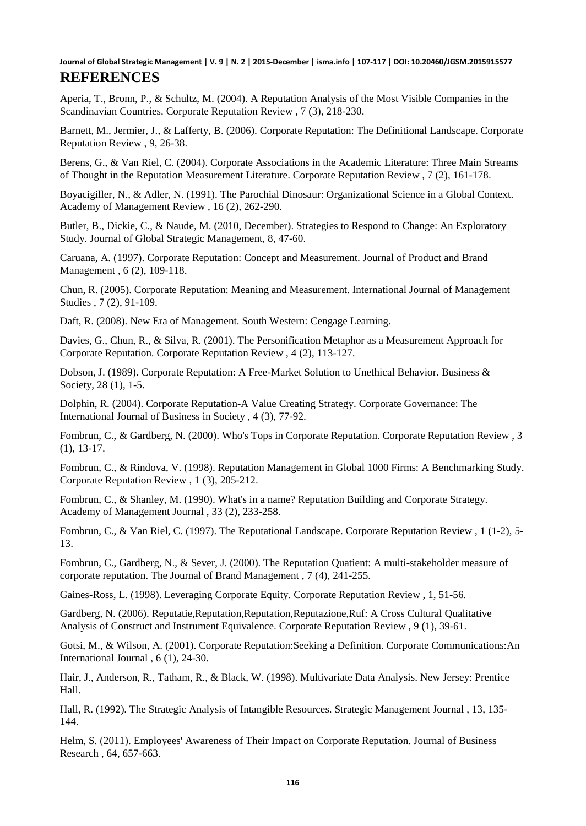Aperia, T., Bronn, P., & Schultz, M. (2004). A Reputation Analysis of the Most Visible Companies in the Scandinavian Countries. Corporate Reputation Review , 7 (3), 218-230.

Barnett, M., Jermier, J., & Lafferty, B. (2006). Corporate Reputation: The Definitional Landscape. Corporate Reputation Review , 9, 26-38.

Berens, G., & Van Riel, C. (2004). Corporate Associations in the Academic Literature: Three Main Streams of Thought in the Reputation Measurement Literature. Corporate Reputation Review , 7 (2), 161-178.

Boyacigiller, N., & Adler, N. (1991). The Parochial Dinosaur: Organizational Science in a Global Context. Academy of Management Review , 16 (2), 262-290.

Butler, B., Dickie, C., & Naude, M. (2010, December). Strategies to Respond to Change: An Exploratory Study. Journal of Global Strategic Management, 8, 47-60.

Caruana, A. (1997). Corporate Reputation: Concept and Measurement. Journal of Product and Brand Management , 6 (2), 109-118.

Chun, R. (2005). Corporate Reputation: Meaning and Measurement. International Journal of Management Studies , 7 (2), 91-109.

Daft, R. (2008). New Era of Management. South Western: Cengage Learning.

Davies, G., Chun, R., & Silva, R. (2001). The Personification Metaphor as a Measurement Approach for Corporate Reputation. Corporate Reputation Review , 4 (2), 113-127.

Dobson, J. (1989). Corporate Reputation: A Free-Market Solution to Unethical Behavior. Business & Society, 28 (1), 1-5.

Dolphin, R. (2004). Corporate Reputation-A Value Creating Strategy. Corporate Governance: The International Journal of Business in Society , 4 (3), 77-92.

Fombrun, C., & Gardberg, N. (2000). Who's Tops in Corporate Reputation. Corporate Reputation Review , 3 (1), 13-17.

Fombrun, C., & Rindova, V. (1998). Reputation Management in Global 1000 Firms: A Benchmarking Study. Corporate Reputation Review , 1 (3), 205-212.

Fombrun, C., & Shanley, M. (1990). What's in a name? Reputation Building and Corporate Strategy. Academy of Management Journal , 33 (2), 233-258.

Fombrun, C., & Van Riel, C. (1997). The Reputational Landscape. Corporate Reputation Review , 1 (1-2), 5- 13.

Fombrun, C., Gardberg, N., & Sever, J. (2000). The Reputation Quatient: A multi-stakeholder measure of corporate reputation. The Journal of Brand Management , 7 (4), 241-255.

Gaines-Ross, L. (1998). Leveraging Corporate Equity. Corporate Reputation Review , 1, 51-56.

Gardberg, N. (2006). Reputatie,Reputation,Reputation,Reputazione,Ruf: A Cross Cultural Qualitative Analysis of Construct and Instrument Equivalence. Corporate Reputation Review , 9 (1), 39-61.

Gotsi, M., & Wilson, A. (2001). Corporate Reputation:Seeking a Definition. Corporate Communications:An International Journal , 6 (1), 24-30.

Hair, J., Anderson, R., Tatham, R., & Black, W. (1998). Multivariate Data Analysis. New Jersey: Prentice Hall.

Hall, R. (1992). The Strategic Analysis of Intangible Resources. Strategic Management Journal , 13, 135- 144.

Helm, S. (2011). Employees' Awareness of Their Impact on Corporate Reputation. Journal of Business Research , 64, 657-663.